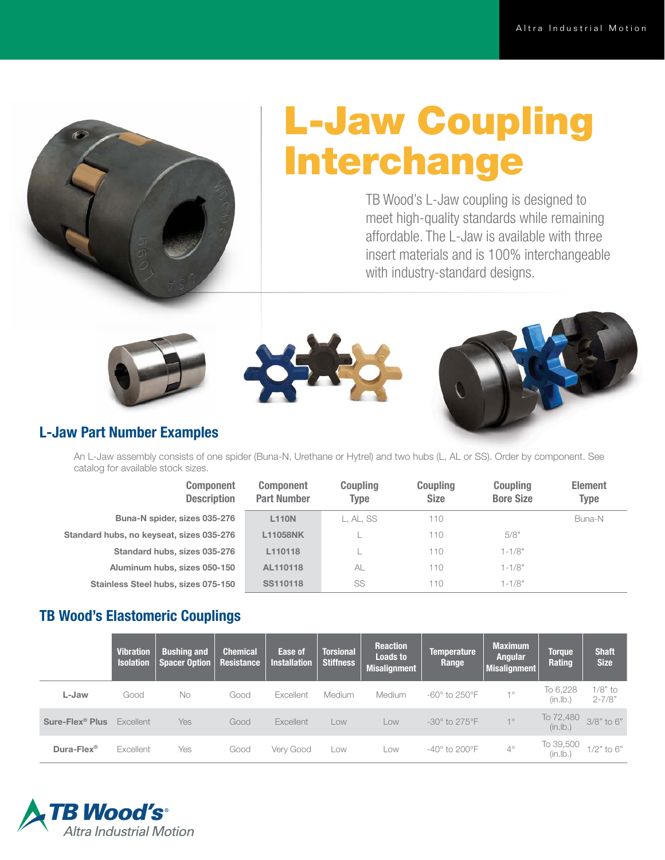

# L-Jaw Coupling Interchange

TB Wood's L-Jaw coupling is designed to meet high-quality standards while remaining affordable. The L-Jaw is available with three insert materials and is 100% interchangeable with industry-standard designs.







#### L-Jaw Part Number Examples

An L-Jaw assembly consists of one spider (Buna-N, Urethane or Hytrel) and two hubs (L, AL or SS). Order by component. See catalog for available stock sizes.

| <b>Component</b><br><b>Description</b>   | <b>Component</b><br><b>Part Number</b> | <b>Coupling</b><br>Type | <b>Coupling</b><br><b>Size</b> | <b>Coupling</b><br><b>Bore Size</b> | <b>Element</b><br><b>Type</b> |
|------------------------------------------|----------------------------------------|-------------------------|--------------------------------|-------------------------------------|-------------------------------|
| Buna-N spider, sizes 035-276             | <b>L110N</b>                           | L. AL. SS               | 110                            |                                     | Buna-N                        |
| Standard hubs, no keyseat, sizes 035-276 | L11058NK                               |                         | 110                            | 5/8"                                |                               |
| Standard hubs, sizes 035-276             | L110118                                |                         | 110                            | $1 - 1/8"$                          |                               |
| Aluminum hubs, sizes 050-150             | AL110118                               | AL                      | 110                            | $1 - 1/8"$                          |                               |
| Stainless Steel hubs, sizes 075-150      | SS110118                               | SS                      | 110                            | $1 - 1/8"$                          |                               |

### TB Wood's Elastomeric Couplings

|                             | <b>Vibration</b><br><b>Isolation</b> | <b>Bushing and</b><br><b>Spacer Option</b> | <b>Chemical</b><br>Resistance | Ease of<br><b>Installation</b> | <b>Torsional</b><br><b>Stiffness</b> | <b>Reaction</b><br><b>Loads to</b><br><b>Misalignment</b> | <b>Temperature</b><br>Range   | <b>Maximum</b><br><b>Angular</b><br><b>Misalignment</b> | <b>Toraue</b><br>Rating | <b>Shaft</b><br><b>Size</b> |
|-----------------------------|--------------------------------------|--------------------------------------------|-------------------------------|--------------------------------|--------------------------------------|-----------------------------------------------------------|-------------------------------|---------------------------------------------------------|-------------------------|-----------------------------|
| L-Jaw                       | Good                                 | No                                         | Good                          | Excellent                      | Medium                               | <b>Medium</b>                                             | $-60^\circ$ to 250 $^\circ$ F | 10                                                      | To 6,228<br>(in.lb.)    | $1/8"$ to<br>$2 - 7/8"$     |
| Sure-Flex <sup>®</sup> Plus | Excellent                            | Yes                                        | Good                          | Excellent                      | Low                                  | Low                                                       | $-30^\circ$ to 275 $^\circ$ F | 10                                                      | To 72,480<br>(in.lb.)   | 3/8" to 6"                  |
| Dura-Flex <sup>®</sup>      | Excellent                            | Yes                                        | Good                          | Very Good                      | Low                                  | Low                                                       | $-40^\circ$ to 200 $^\circ$ F | $4^\circ$                                               | To 39,500<br>(in.lb.    | $1/2$ " to $6$ "            |